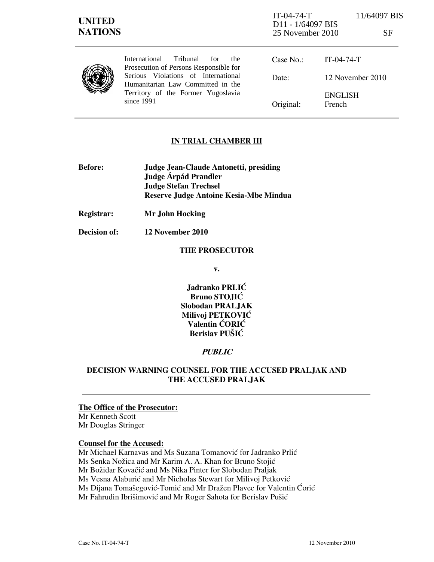| <b>UNITED</b><br><b>NATIONS</b> |                                                                                                                                                                                                                           | $IT-04-74-T$<br>D <sub>11</sub> - 1/64097 BIS<br>25 November 2010 |                          | 11/64097 BIS<br>SF |
|---------------------------------|---------------------------------------------------------------------------------------------------------------------------------------------------------------------------------------------------------------------------|-------------------------------------------------------------------|--------------------------|--------------------|
|                                 | Tribunal<br><b>International</b><br>for<br>the.<br>Prosecution of Persons Responsible for<br>Serious Violations of International<br>Humanitarian Law Committed in the<br>Territory of the Former Yugoslavia<br>since 1991 | Case No.:                                                         | $IT-04-74-T$             |                    |
|                                 |                                                                                                                                                                                                                           | Date:                                                             | 12 November 2010         |                    |
|                                 |                                                                                                                                                                                                                           | Original:                                                         | <b>ENGLISH</b><br>French |                    |

## IN TRIAL CHAMBER III

- Before: Judge Jean-Claude Antonetti, presiding Judge **Árpád Prandler**  Judge Stefan Trechsel Reserve Judge Antoine Kesia-Mbe Mindua
- Registrar: Mr John Hocking
- Decision of: 12 November 2010

#### THE PROSECUTOR

v.

Jadranko PRLIĆ Bruno STOJIĆ Slobodan PRALJAK Milivoj PETKOVIĆ Valentin ĆORIĆ Berislav PUŠIĆ

## **PUBLIC**

# DECISION WARNING COUNSEL FOR THE ACCUSED PRALJAK AND THE ACCUSED PRALJAK

# The Office of the Prosecutor:

Mr Kenneth Scott Mr Douglas Stringer

#### Counsel for the Accused:

Mr Michael Karnavas and Ms Suzana Tomanović for Jadranko Prlić Ms Senka Nožica and Mr Karim A. A. Khan for Bruno Stojić Mr Božidar Kovačić and Ms Nika Pinter for Slobodan Praljak Ms Vesna Alaburić and Mr Nicholas Stewart for Milivoj Petković Ms Dijana Tomašegović-Tomić and Mr Dražen Plavec for Valentin Ćorić Mr Fahrudin Ibrišimović and Mr Roger Sahota for Berislav Pušić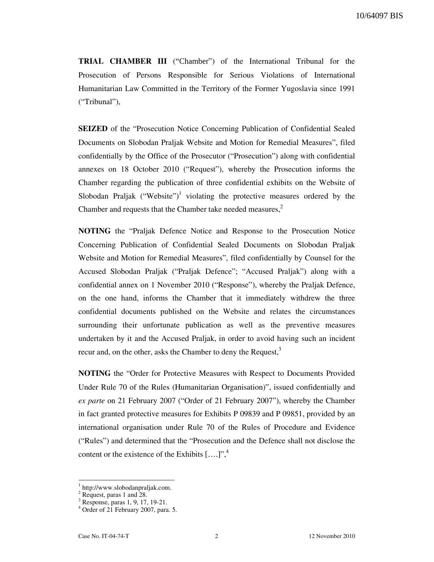10/64097 BIS

TRIAL CHAMBER III ("Chamber") of the International Tribunal for the Prosecution of Persons Responsible for Serious Violations of International Humanitarian Law Committed in the Territory of the Former Yugoslavia since 1991 ("Tribunal"),

SEIZED of the "Prosecution Notice Concerning Publication of Confidential Sealed Documents on Slobodan Praljak Website and Motion for Remedial Measures", filed confidentially by the Office of the Prosecutor ("Prosecution") along with confidential annexes on 18 October 2010 ("Request"), whereby the Prosecution informs the Chamber regarding the publication of three confidential exhibits on the Website of Slobodan Praljak ("Website")<sup>1</sup> violating the protective measures ordered by the Chamber and requests that the Chamber take needed measures, $<sup>2</sup>$ </sup>

NOTING the "Praljak Defence Notice and Response to the Prosecution Notice Concerning Publication of Confidential Sealed Documents on Slobodan Praljak Website and Motion for Remedial Measures", filed confidentially by Counsel for the Accused Slobodan Praljak ("Praljak Defence"; "Accused Praljak") along with a confidential annex on 1 November 2010 ("Response"), whereby the Praljak Defence, on the one hand, informs the Chamber that it immediately withdrew the three confidential documents published on the Website and relates the circumstances surrounding their unfortunate publication as well as the preventive measures undertaken by it and the Accused Praljak, in order to avoid having such an incident recur and, on the other, asks the Chamber to deny the Request,<sup>3</sup>

NOTING the "Order for Protective Measures with Respect to Documents Provided Under Rule 70 of the Rules (Humanitarian Organisation)", issued confidentially and ex parte on 21 February 2007 ("Order of 21 February 2007"), whereby the Chamber in fact granted protective measures for Exhibits P 09839 and P 09851, provided by an international organisation under Rule 70 of the Rules of Procedure and Evidence ("Rules") and determined that the "Prosecution and the Defence shall not disclose the content or the existence of the Exhibits  $[...]^n$ ,<sup>4</sup>

<sup>1</sup> http://www.slobodanpraljak.com.

<sup>&</sup>lt;sup>2</sup> Request, paras 1 and 28.

<sup>3</sup> Response, paras 1, 9, 17, 19-21.

<sup>4</sup> Order of 21 February 2007, para. 5.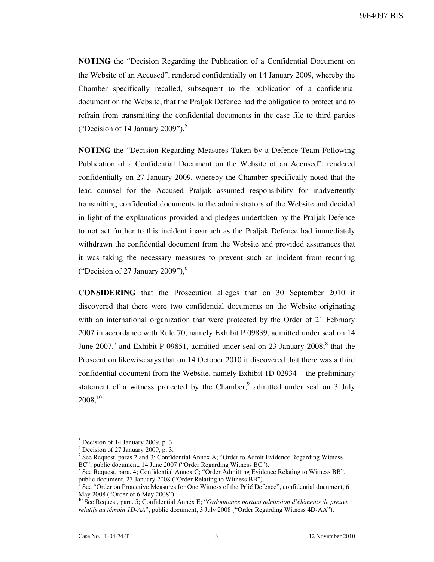NOTING the "Decision Regarding the Publication of a Confidential Document on the Website of an Accused", rendered confidentially on 14 January 2009, whereby the Chamber specifically recalled, subsequent to the publication of a confidential document on the Website, that the Praljak Defence had the obligation to protect and to refrain from transmitting the confidential documents in the case file to third parties ("Decision of 14 January 2009"),<sup>5</sup>

NOTING the "Decision Regarding Measures Taken by a Defence Team Following Publication of a Confidential Document on the Website of an Accused", rendered confidentially on 27 January 2009, whereby the Chamber specifically noted that the lead counsel for the Accused Praljak assumed responsibility for inadvertently transmitting confidential documents to the administrators of the Website and decided in light of the explanations provided and pledges undertaken by the Praljak Defence to not act further to this incident inasmuch as the Praljak Defence had immediately withdrawn the confidential document from the Website and provided assurances that it was taking the necessary measures to prevent such an incident from recurring ("Decision of 27 January 2009"), $<sup>6</sup>$ </sup>

CONSIDERING that the Prosecution alleges that on 30 September 2010 it discovered that there were two confidential documents on the Website originating with an international organization that were protected by the Order of 21 February 2007 in accordance with Rule 70, namely Exhibit P 09839, admitted under seal on 14 June 2007,<sup>7</sup> and Exhibit P 09851, admitted under seal on 23 January 2008;<sup>8</sup> that the Prosecution likewise says that on 14 October 2010 it discovered that there was a third confidential document from the Website, namely Exhibit 1D 02934 – the preliminary statement of a witness protected by the Chamber,  $9$  admitted under seal on 3 July 2008,<sup>10</sup>

 $<sup>5</sup>$  Decision of 14 January 2009, p. 3.</sup>

 $6$  Decision of 27 January 2009, p. 3.

<sup>&</sup>lt;sup>7</sup> See Request, paras 2 and 3; Confidential Annex A; "Order to Admit Evidence Regarding Witness" BC", public document, 14 June 2007 ("Order Regarding Witness BC").

<sup>&</sup>lt;sup>8</sup> See Request, para. 4; Confidential Annex C; "Order Admitting Evidence Relating to Witness BB", public document, 23 January 2008 ("Order Relating to Witness BB").<br><sup>9</sup> See "Order on Pretective Measures for One Witness of the Prlis Defe

See "Order on Protective Measures for One Witness of the Prlić Defence", confidential document, 6 May 2008 ("Order of 6 May 2008").

<sup>10</sup> See Request, para. 5; Confidential Annex E; "Ordonnance portant admission d'*é*l*é*ments de preuve relatifs au t*é*moin 1D-AA", public document, 3 July 2008 ("Order Regarding Witness 4D-AA").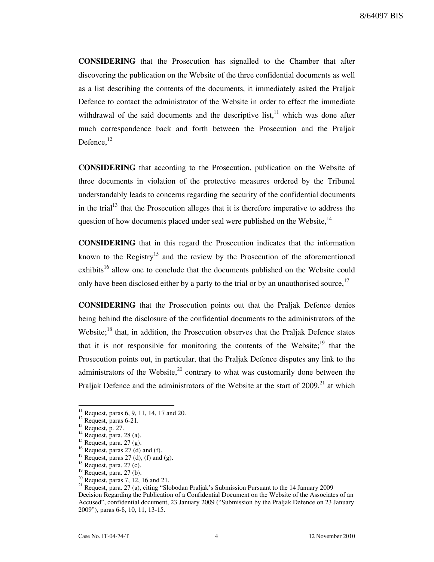CONSIDERING that the Prosecution has signalled to the Chamber that after discovering the publication on the Website of the three confidential documents as well as a list describing the contents of the documents, it immediately asked the Praljak Defence to contact the administrator of the Website in order to effect the immediate withdrawal of the said documents and the descriptive list, $11$  which was done after much correspondence back and forth between the Prosecution and the Praljak Defence.<sup>12</sup>

CONSIDERING that according to the Prosecution, publication on the Website of three documents in violation of the protective measures ordered by the Tribunal understandably leads to concerns regarding the security of the confidential documents in the trial<sup>13</sup> that the Prosecution alleges that it is therefore imperative to address the question of how documents placed under seal were published on the Website,<sup>14</sup>

CONSIDERING that in this regard the Prosecution indicates that the information known to the Registry<sup>15</sup> and the review by the Prosecution of the aforementioned exhibits<sup>16</sup> allow one to conclude that the documents published on the Website could only have been disclosed either by a party to the trial or by an unauthorised source, $17$ 

CONSIDERING that the Prosecution points out that the Praljak Defence denies being behind the disclosure of the confidential documents to the administrators of the Website; $^{18}$  that, in addition, the Prosecution observes that the Praljak Defence states that it is not responsible for monitoring the contents of the Website;  $19$  that the Prosecution points out, in particular, that the Praljak Defence disputes any link to the administrators of the Website, $^{20}$  contrary to what was customarily done between the Praljak Defence and the administrators of the Website at the start of  $2009$ ,<sup>21</sup> at which

 $\overline{a}$ 

<sup>20</sup> Request, paras 7,  $12$ , 16 and 21.

<sup>21</sup> Request, para. 27 (a), citing "Slobodan Praljak's Submission Pursuant to the 14 January 2009 Decision Regarding the Publication of a Confidential Document on the Website of the Associates of an Accused", confidential document, 23 January 2009 ("Submission by the Praljak Defence on 23 January 2009"), paras 6-8, 10, 11, 13-15.

 $11$  Request, paras 6, 9, 11, 14, 17 and 20.

 $12$  Request, paras 6-21.

 $^{13}$  Request, p. 27.

 $14$  Request, para. 28 (a).

 $15$  Request, para. 27 (g).

<sup>&</sup>lt;sup>16</sup> Request, paras 27 (d) and (f).

<sup>&</sup>lt;sup>17</sup> Request, paras 27 (d), (f) and (g).

 $18$  Request, para. 27 (c).

 $19$  Request, para. 27 (b).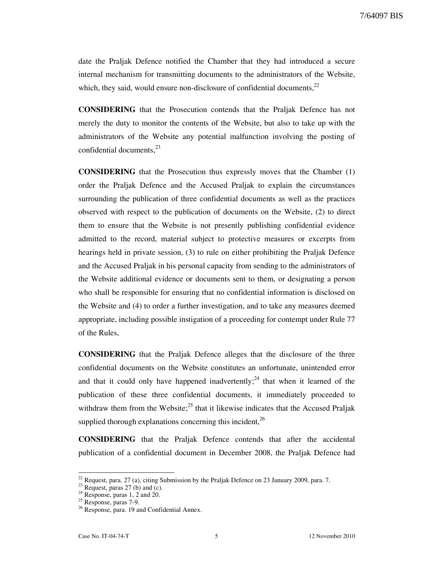7/64097 BIS

date the Praljak Defence notified the Chamber that they had introduced a secure internal mechanism for transmitting documents to the administrators of the Website, which, they said, would ensure non-disclosure of confidential documents,  $^{22}$ 

CONSIDERING that the Prosecution contends that the Praljak Defence has not merely the duty to monitor the contents of the Website, but also to take up with the administrators of the Website any potential malfunction involving the posting of confidential documents, $^{23}$ 

CONSIDERING that the Prosecution thus expressly moves that the Chamber (1) order the Praljak Defence and the Accused Praljak to explain the circumstances surrounding the publication of three confidential documents as well as the practices observed with respect to the publication of documents on the Website, (2) to direct them to ensure that the Website is not presently publishing confidential evidence admitted to the record, material subject to protective measures or excerpts from hearings held in private session, (3) to rule on either prohibiting the Praljak Defence and the Accused Praljak in his personal capacity from sending to the administrators of the Website additional evidence or documents sent to them, or designating a person who shall be responsible for ensuring that no confidential information is disclosed on the Website and (4) to order a further investigation, and to take any measures deemed appropriate, including possible instigation of a proceeding for contempt under Rule 77 of the Rules,

CONSIDERING that the Praljak Defence alleges that the disclosure of the three confidential documents on the Website constitutes an unfortunate, unintended error and that it could only have happened inadvertently;<sup>24</sup> that when it learned of the publication of these three confidential documents, it immediately proceeded to withdraw them from the Website; $^{25}$  that it likewise indicates that the Accused Praljak supplied thorough explanations concerning this incident,  $^{26}$ 

CONSIDERING that the Praljak Defence contends that after the accidental publication of a confidential document in December 2008, the Praljak Defence had

 $22$  Request, para. 27 (a), citing Submission by the Praljak Defence on 23 January 2009, para. 7.

 $23$  Request, paras 27 (b) and (c).

 $24$  Response, paras 1, 2 and 20.

<sup>&</sup>lt;sup>25</sup> Response, paras 7-9.

<sup>&</sup>lt;sup>26</sup> Response, para. 19 and Confidential Annex.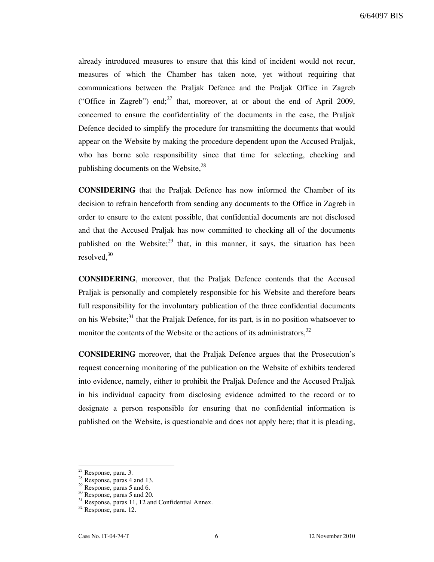already introduced measures to ensure that this kind of incident would not recur, measures of which the Chamber has taken note, yet without requiring that communications between the Praljak Defence and the Praljak Office in Zagreb ("Office in Zagreb") end; $^{27}$  that, moreover, at or about the end of April 2009, concerned to ensure the confidentiality of the documents in the case, the Praljak Defence decided to simplify the procedure for transmitting the documents that would appear on the Website by making the procedure dependent upon the Accused Praljak, who has borne sole responsibility since that time for selecting, checking and publishing documents on the Website, $28$ 

CONSIDERING that the Praljak Defence has now informed the Chamber of its decision to refrain henceforth from sending any documents to the Office in Zagreb in order to ensure to the extent possible, that confidential documents are not disclosed and that the Accused Praljak has now committed to checking all of the documents published on the Website;<sup>29</sup> that, in this manner, it says, the situation has been resolved,<sup>30</sup>

CONSIDERING, moreover, that the Praljak Defence contends that the Accused Praljak is personally and completely responsible for his Website and therefore bears full responsibility for the involuntary publication of the three confidential documents on his Website; $31$  that the Praljak Defence, for its part, is in no position whatsoever to monitor the contents of the Website or the actions of its administrators,  $32$ 

CONSIDERING moreover, that the Praljak Defence argues that the Prosecution's request concerning monitoring of the publication on the Website of exhibits tendered into evidence, namely, either to prohibit the Praljak Defence and the Accused Praljak in his individual capacity from disclosing evidence admitted to the record or to designate a person responsible for ensuring that no confidential information is published on the Website, is questionable and does not apply here; that it is pleading,

<sup>&</sup>lt;sup>27</sup> Response, para. 3.

 $28$  Response, paras 4 and 13.

 $29$  Response, paras 5 and 6.

<sup>&</sup>lt;sup>30</sup> Response, paras 5 and 20.

 $31$  Response, paras 11, 12 and Confidential Annex.

<sup>32</sup> Response, para. 12.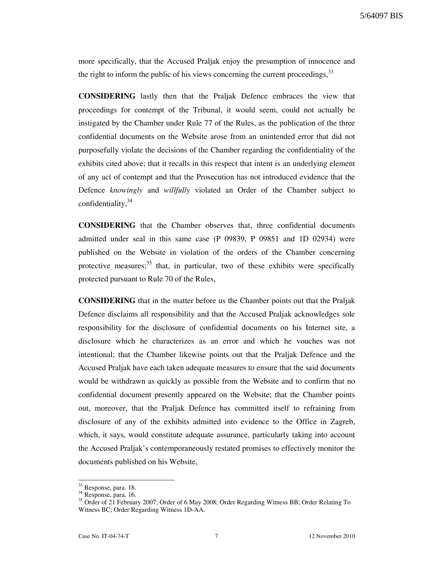more specifically, that the Accused Praljak enjoy the presumption of innocence and the right to inform the public of his views concerning the current proceedings,  $33$ 

CONSIDERING lastly then that the Praljak Defence embraces the view that proceedings for contempt of the Tribunal, it would seem, could not actually be instigated by the Chamber under Rule 77 of the Rules, as the publication of the three confidential documents on the Website arose from an unintended error that did not purposefully violate the decisions of the Chamber regarding the confidentiality of the exhibits cited above; that it recalls in this respect that intent is an underlying element of any act of contempt and that the Prosecution has not introduced evidence that the Defence knowingly and willfully violated an Order of the Chamber subject to confidentiality,  $34$ 

CONSIDERING that the Chamber observes that, three confidential documents admitted under seal in this same case (P 09839, P 09851 and 1D 02934) were published on the Website in violation of the orders of the Chamber concerning protective measures; $35$  that, in particular, two of these exhibits were specifically protected pursuant to Rule 70 of the Rules,

CONSIDERING that in the matter before us the Chamber points out that the Praljak Defence disclaims all responsibility and that the Accused Praljak acknowledges sole responsibility for the disclosure of confidential documents on his Internet site, a disclosure which he characterizes as an error and which he vouches was not intentional; that the Chamber likewise points out that the Praljak Defence and the Accused Praljak have each taken adequate measures to ensure that the said documents would be withdrawn as quickly as possible from the Website and to confirm that no confidential document presently appeared on the Website; that the Chamber points out, moreover, that the Praljak Defence has committed itself to refraining from disclosure of any of the exhibits admitted into evidence to the Office in Zagreb, which, it says, would constitute adequate assurance, particularly taking into account the Accused Praljak's contemporaneously restated promises to effectively monitor the documents published on his Website,

<sup>&</sup>lt;sup>33</sup> Response, para. 18.

 $34$  Response, para. 16.

<sup>&</sup>lt;sup>35</sup> Order of 21 February 2007; Order of 6 May 2008; Order Regarding Witness BB; Order Relating To Witness BC; Order Regarding Witness 1D-AA.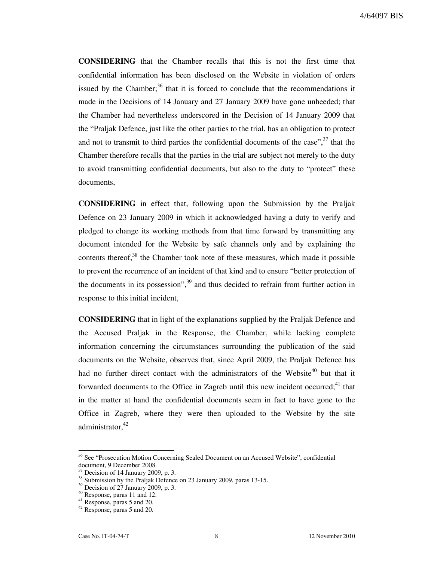CONSIDERING that the Chamber recalls that this is not the first time that confidential information has been disclosed on the Website in violation of orders issued by the Chamber; $36$  that it is forced to conclude that the recommendations it made in the Decisions of 14 January and 27 January 2009 have gone unheeded; that the Chamber had nevertheless underscored in the Decision of 14 January 2009 that the "Praljak Defence, just like the other parties to the trial, has an obligation to protect and not to transmit to third parties the confidential documents of the case",  $37$  that the Chamber therefore recalls that the parties in the trial are subject not merely to the duty to avoid transmitting confidential documents, but also to the duty to "protect" these documents,

CONSIDERING in effect that, following upon the Submission by the Praljak Defence on 23 January 2009 in which it acknowledged having a duty to verify and pledged to change its working methods from that time forward by transmitting any document intended for the Website by safe channels only and by explaining the contents thereof, $38$  the Chamber took note of these measures, which made it possible to prevent the recurrence of an incident of that kind and to ensure "better protection of the documents in its possession", $39$  and thus decided to refrain from further action in response to this initial incident,

CONSIDERING that in light of the explanations supplied by the Praljak Defence and the Accused Praljak in the Response, the Chamber, while lacking complete information concerning the circumstances surrounding the publication of the said documents on the Website, observes that, since April 2009, the Praljak Defence has had no further direct contact with the administrators of the Website<sup>40</sup> but that it forwarded documents to the Office in Zagreb until this new incident occurred;<sup>41</sup> that in the matter at hand the confidential documents seem in fact to have gone to the Office in Zagreb, where they were then uploaded to the Website by the site administrator. $42$ 

<sup>36</sup> See "Prosecution Motion Concerning Sealed Document on an Accused Website", confidential document, 9 December 2008.

Decision of 14 January 2009, p. 3.

 $38$  Submission by the Praljak Defence on 23 January 2009, paras 13-15.

 $39$  Decision of 27 January 2009, p. 3.

 $40$  Response, paras 11 and 12.

<sup>41</sup> Response, paras 5 and 20.

<sup>42</sup> Response, paras 5 and 20.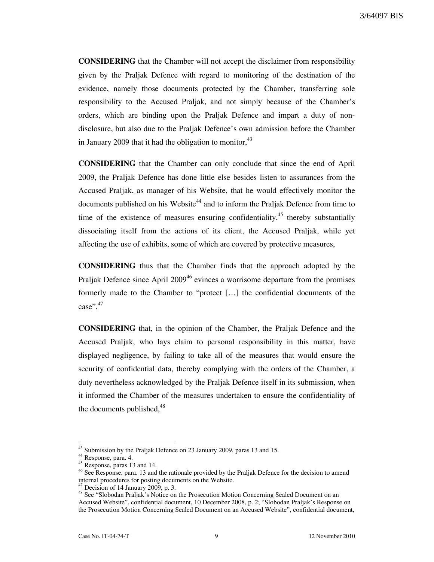CONSIDERING that the Chamber will not accept the disclaimer from responsibility given by the Praljak Defence with regard to monitoring of the destination of the evidence, namely those documents protected by the Chamber, transferring sole responsibility to the Accused Praljak, and not simply because of the Chamber's orders, which are binding upon the Praljak Defence and impart a duty of nondisclosure, but also due to the Praljak Defence's own admission before the Chamber in January 2009 that it had the obligation to monitor,<sup>43</sup>

CONSIDERING that the Chamber can only conclude that since the end of April 2009, the Praljak Defence has done little else besides listen to assurances from the Accused Praljak, as manager of his Website, that he would effectively monitor the documents published on his Website<sup>44</sup> and to inform the Praljak Defence from time to time of the existence of measures ensuring confidentiality,  $45$  thereby substantially dissociating itself from the actions of its client, the Accused Praljak, while yet affecting the use of exhibits, some of which are covered by protective measures,

CONSIDERING thus that the Chamber finds that the approach adopted by the Praljak Defence since April 2009<sup>46</sup> evinces a worrisome departure from the promises formerly made to the Chamber to "protect […] the confidential documents of the case",  $47$ 

CONSIDERING that, in the opinion of the Chamber, the Praljak Defence and the Accused Praljak, who lays claim to personal responsibility in this matter, have displayed negligence, by failing to take all of the measures that would ensure the security of confidential data, thereby complying with the orders of the Chamber, a duty nevertheless acknowledged by the Praljak Defence itself in its submission, when it informed the Chamber of the measures undertaken to ensure the confidentiality of the documents published, $48$ 

 $43$  Submission by the Praljak Defence on 23 January 2009, paras 13 and 15.

<sup>44</sup> Response, para. 4.

 $45$  Response, paras 13 and 14.

<sup>&</sup>lt;sup>46</sup> See Response, para. 13 and the rationale provided by the Praljak Defence for the decision to amend internal procedures for posting documents on the Website.

Decision of 14 January 2009, p. 3.

<sup>&</sup>lt;sup>48</sup> See "Slobodan Praljak's Notice on the Prosecution Motion Concerning Sealed Document on an Accused Website", confidential document, 10 December 2008, p. 2; "Slobodan Praljak's Response on the Prosecution Motion Concerning Sealed Document on an Accused Website", confidential document,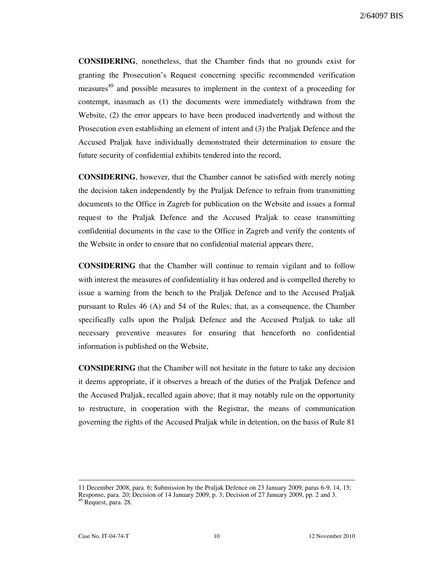CONSIDERING, nonetheless, that the Chamber finds that no grounds exist for granting the Prosecution's Request concerning specific recommended verification measures<sup>49</sup> and possible measures to implement in the context of a proceeding for contempt, inasmuch as (1) the documents were immediately withdrawn from the Website, (2) the error appears to have been produced inadvertently and without the Prosecution even establishing an element of intent and (3) the Praljak Defence and the Accused Praljak have individually demonstrated their determination to ensure the future security of confidential exhibits tendered into the record,

CONSIDERING, however, that the Chamber cannot be satisfied with merely noting the decision taken independently by the Praljak Defence to refrain from transmitting documents to the Office in Zagreb for publication on the Website and issues a formal request to the Praljak Defence and the Accused Praljak to cease transmitting confidential documents in the case to the Office in Zagreb and verify the contents of the Website in order to ensure that no confidential material appears there,

CONSIDERING that the Chamber will continue to remain vigilant and to follow with interest the measures of confidentiality it has ordered and is compelled thereby to issue a warning from the bench to the Praljak Defence and to the Accused Praljak pursuant to Rules 46 (A) and 54 of the Rules; that, as a consequence, the Chamber specifically calls upon the Praljak Defence and the Accused Praljak to take all necessary preventive measures for ensuring that henceforth no confidential information is published on the Website,

CONSIDERING that the Chamber will not hesitate in the future to take any decision it deems appropriate, if it observes a breach of the duties of the Praljak Defence and the Accused Praljak, recalled again above; that it may notably rule on the opportunity to restructure, in cooperation with the Registrar, the means of communication governing the rights of the Accused Praljak while in detention, on the basis of Rule 81

<sup>11</sup> December 2008, para. 6; Submission by the Praljak Defence on 23 January 2009, paras 6-9, 14, 15; Response, para. 20; Decision of 14 January 2009, p. 3; Decision of 27 January 2009, pp. 2 and 3.

<sup>49</sup> Request, para. 28.